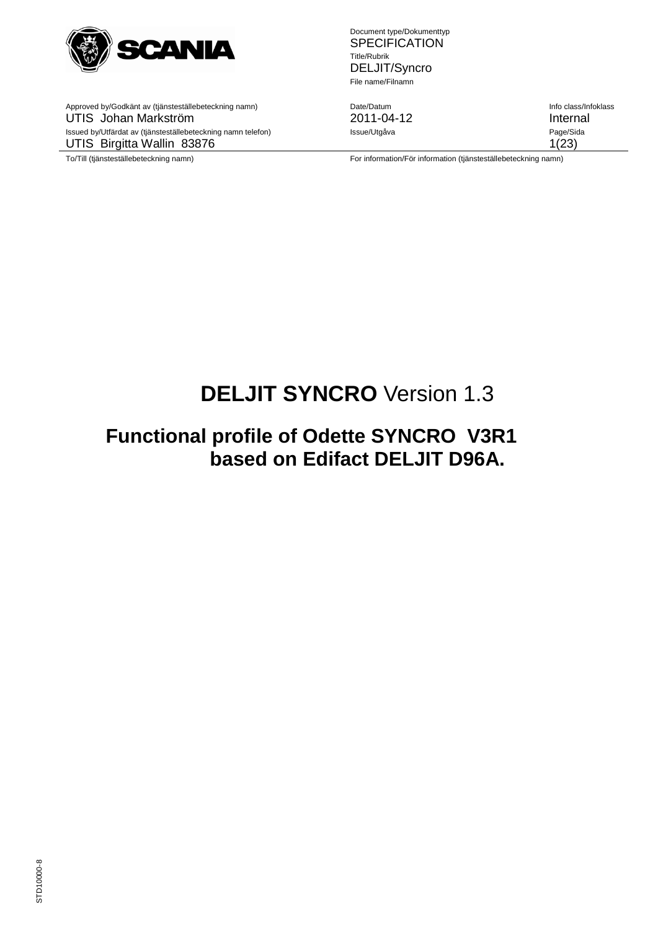

Approved by/Godkänt av (tjänsteställebeteckning namn) Date/Datum Info class/Infoklass UTIS Johan Markström 2011-04-12 Internal Issued by/Utfärdat av (tjänsteställebeteckning namn telefon) **Issue/Utgåva** Page/Sida UTIS Birgitta Wallin 83876 1(23)

Document type/Dokumenttyp **SPECIFICATION** Title/Rubrik DELJIT/Syncro File name/Filnamn

To/Till (tjänsteställebeteckning namn) etter minimation/För information/För information (tjänsteställebeteckning namn)

# **DELJIT SYNCRO** Version 1.3

# **Functional profile of Odette SYNCRO V3R1 based on Edifact DELJIT D96A.**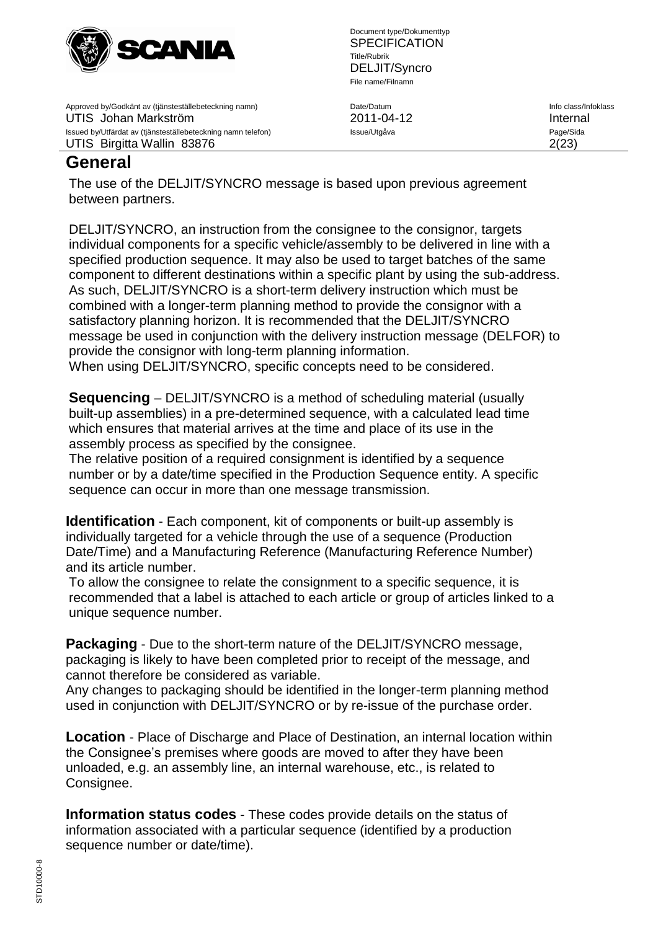

Approved by/Godkänt av (tjänsteställebeteckning namn) Date/Datum Info class/Infoklass UTIS Johan Markström 2011-04-12 Internal Issued by/Utfärdat av (tjänsteställebeteckning namn telefon) **Issue/Utgåva** Page/Sida Page/Sida UTIS Birgitta Wallin 83876 2(23)

Document type/Dokumenttyp **SPECIFICATION** Title/Rubrik DELJIT/Syncro File name/Filnamn

# **General**

The use of the DELJIT/SYNCRO message is based upon previous agreement between partners.

DELJIT/SYNCRO, an instruction from the consignee to the consignor, targets individual components for a specific vehicle/assembly to be delivered in line with a specified production sequence. It may also be used to target batches of the same component to different destinations within a specific plant by using the sub-address. As such, DELJIT/SYNCRO is a short-term delivery instruction which must be combined with a longer-term planning method to provide the consignor with a satisfactory planning horizon. It is recommended that the DELJIT/SYNCRO message be used in conjunction with the delivery instruction message (DELFOR) to provide the consignor with long-term planning information.

When using DELJIT/SYNCRO, specific concepts need to be considered.

**Sequencing** – DELJIT/SYNCRO is a method of scheduling material (usually built-up assemblies) in a pre-determined sequence, with a calculated lead time which ensures that material arrives at the time and place of its use in the assembly process as specified by the consignee.

The relative position of a required consignment is identified by a sequence number or by a date/time specified in the Production Sequence entity. A specific sequence can occur in more than one message transmission.

**Identification** - Each component, kit of components or built-up assembly is individually targeted for a vehicle through the use of a sequence (Production Date/Time) and a Manufacturing Reference (Manufacturing Reference Number) and its article number.

To allow the consignee to relate the consignment to a specific sequence, it is recommended that a label is attached to each article or group of articles linked to a unique sequence number.

**Packaging** - Due to the short-term nature of the DELJIT/SYNCRO message, packaging is likely to have been completed prior to receipt of the message, and cannot therefore be considered as variable.

Any changes to packaging should be identified in the longer-term planning method used in conjunction with DELJIT/SYNCRO or by re-issue of the purchase order.

**Location** - Place of Discharge and Place of Destination, an internal location within the Consignee's premises where goods are moved to after they have been unloaded, e.g. an assembly line, an internal warehouse, etc., is related to Consignee.

**Information status codes** - These codes provide details on the status of information associated with a particular sequence (identified by a production sequence number or date/time).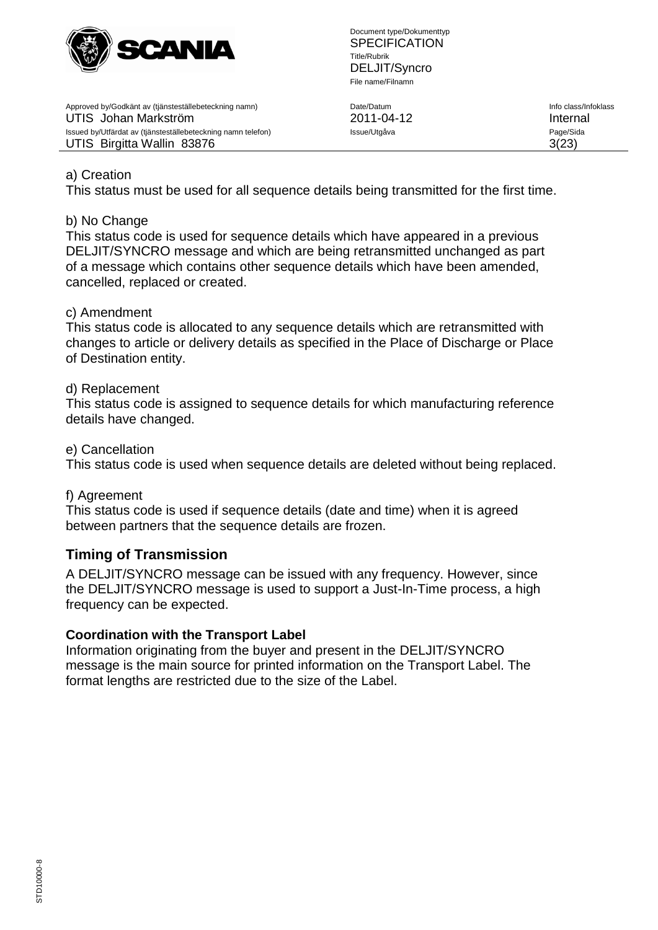

Approved by/Godkänt av (tjänsteställebeteckning namn) Date/Datum Info class/Infoklass UTIS Johan Markström 2011-04-12 Internal Issued by/Utfärdat av (tjänsteställebeteckning namn telefon) **Issue/Utgåva** Page/Sida Page/Sida UTIS Birgitta Wallin 83876 3(23)

## a) Creation

This status must be used for all sequence details being transmitted for the first time.

## b) No Change

This status code is used for sequence details which have appeared in a previous DELJIT/SYNCRO message and which are being retransmitted unchanged as part of a message which contains other sequence details which have been amended, cancelled, replaced or created.

## c) Amendment

This status code is allocated to any sequence details which are retransmitted with changes to article or delivery details as specified in the Place of Discharge or Place of Destination entity.

## d) Replacement

This status code is assigned to sequence details for which manufacturing reference details have changed.

## e) Cancellation

This status code is used when sequence details are deleted without being replaced.

## f) Agreement

This status code is used if sequence details (date and time) when it is agreed between partners that the sequence details are frozen.

## **Timing of Transmission**

A DELJIT/SYNCRO message can be issued with any frequency. However, since the DELJIT/SYNCRO message is used to support a Just-In-Time process, a high frequency can be expected.

## **Coordination with the Transport Label**

Information originating from the buyer and present in the DELJIT/SYNCRO message is the main source for printed information on the Transport Label. The format lengths are restricted due to the size of the Label.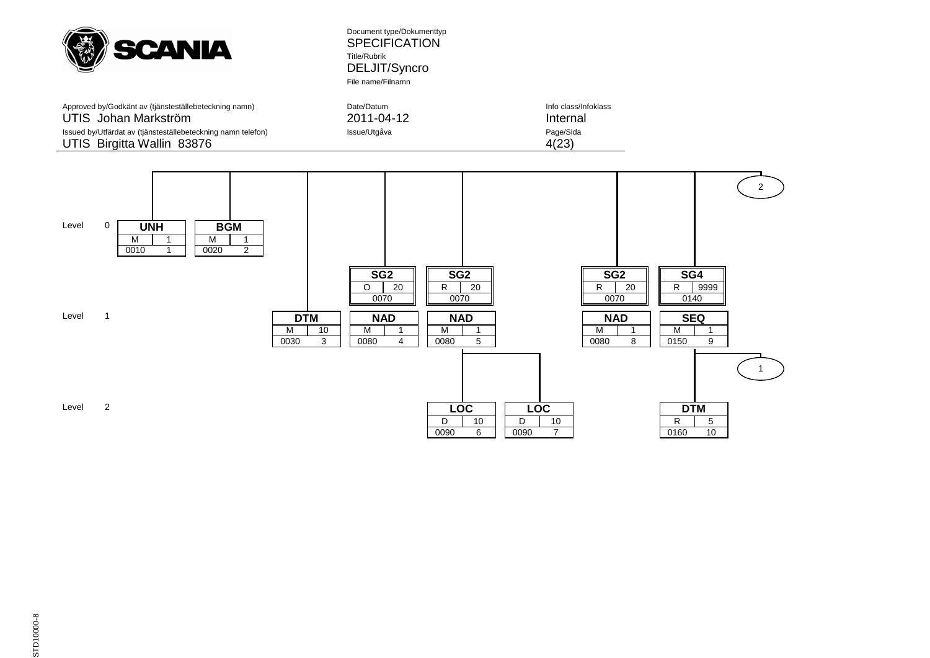

Approved by/Godkänt av (tjänsteställebeteckning namn) Date/Datum Date/Datum Info class/Info class/Infoklass<br>
2011-04-12 Internal UTIS Johan Markström ann telefon ann 1992 - 2011-04-12 Internal Issued by/Utfärdat av (tjänsteställebeteckning namn telefon) ann alssue/Utgåva Issued by/Utfärdat av (tjänsteställebeteckning namn telefon) Issue/Utgåva UTIS Birgitta Wallin 83876 4(23)

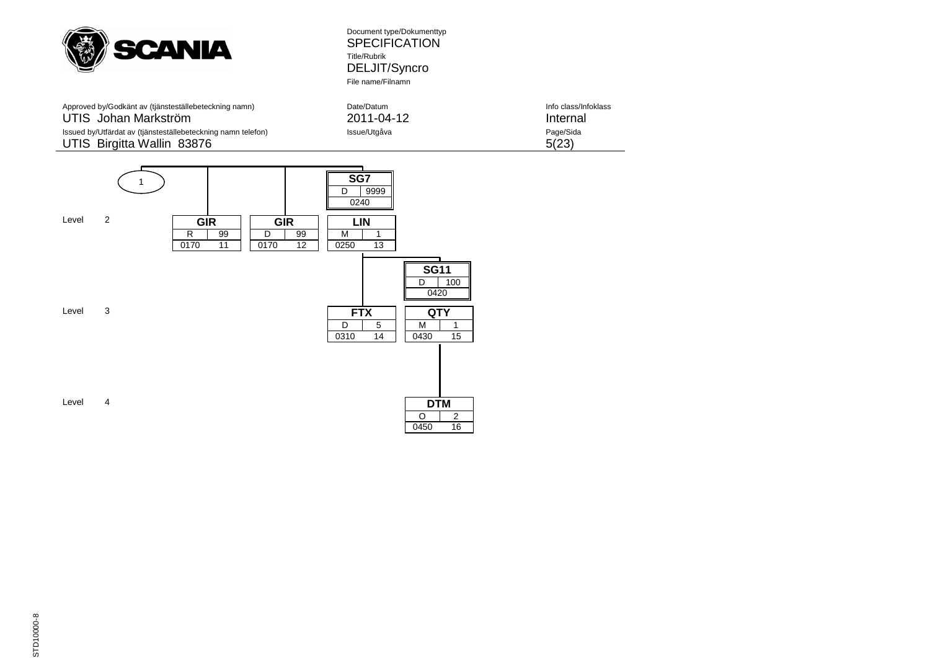

| Approved by/Godkänt av (tjänsteställebeteckning namn)        | Date/Datum   | Info class/Infoklass |
|--------------------------------------------------------------|--------------|----------------------|
| UTIS Johan Markström                                         | 2011-04-12   | Internal             |
| Issued by/Utfärdat av (tjänsteställebeteckning namn telefon) | Issue/Utgåva | Page/Sida            |
| UTIS Birgitta Wallin 83876                                   |              | 5(23)                |

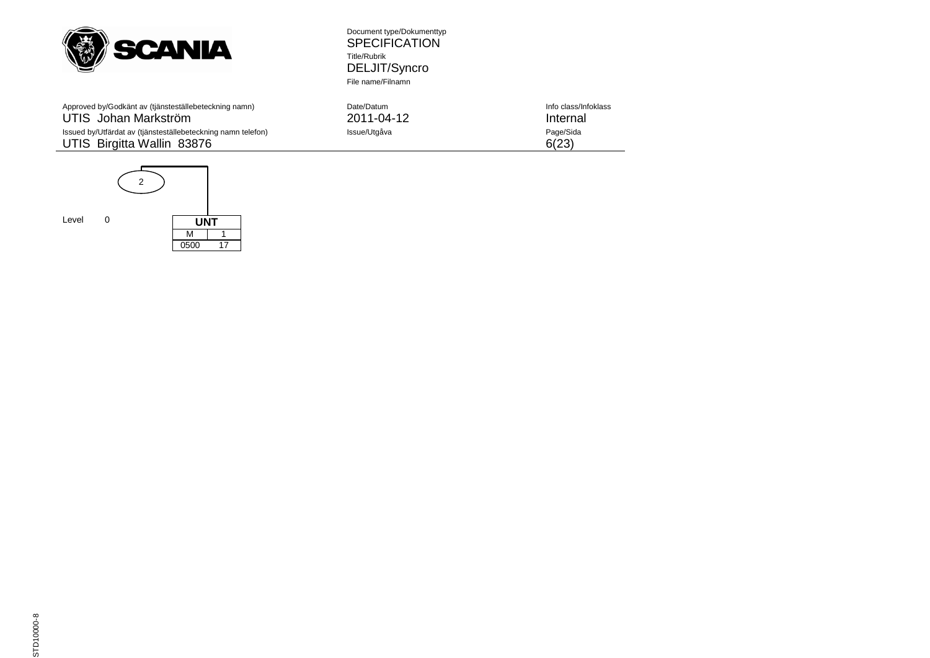

Approved by/Godkänt av (tjänsteställebeteckning namn) Date<br>Information Information Data Class of Class (2015) UTIS Johan Markström UTIS Birgitta Wallin 83876 6(23)



Document type/Dokumenttyp SPECIFICATION Title/Rubrik DELJIT/Syncro File name/Filnamn

| Approved by/Godkänt av (tjänsteställebeteckning namn)        | Date/Datum   | Info class/Infoklass |
|--------------------------------------------------------------|--------------|----------------------|
| UTIS Johan Markström                                         | 2011-04-12   | Internal             |
| Issued by/Utfärdat av (tjänsteställebeteckning namn telefon) | Issue/Utgåva | Page/Sida            |
| UTIS. Birgitta Wallin, 83876.                                |              | 6(23)                |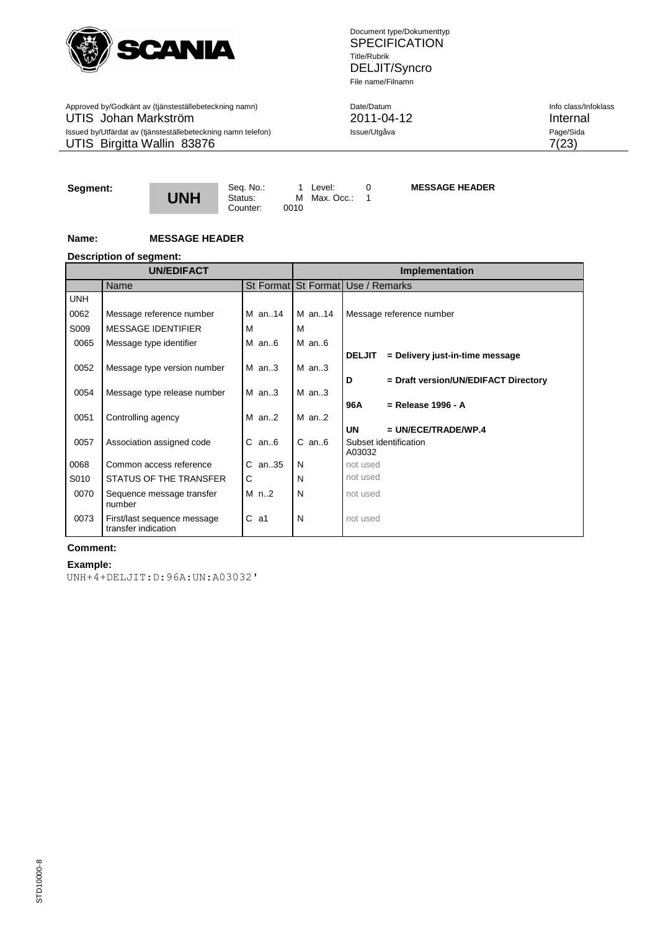

Approved by/Godkänt av (tjänsteställebeteckning namn) Date/Datum Date/Datum Info class/Infoklass Info class/Infoklass UTIS Johan Markström 2011-04-12 Internal Issued by/Utfärdat av (tjänsteställebeteckning namn telefon) **Issue/Utgåva** Page/Sida UTIS Birgitta Wallin  $83876$  7(23)

Document type/Dokumenttyp **SPECIFICATION** Title/Rubrik DELJIT/Syncro File name/Filnamn

## **Segment:**



Counter:

Seq. No.: 1 Level: 0<br>Status: M Max. Occ.: 1 M Max. Occ.: 0010

**MESSAGE HEADER**

## **Name: MESSAGE HEADER**

#### **Description of segment:**

|            | <b>UN/EDIFACT</b>                                  |                                   |   | <b>Implementation</b> |               |                                      |  |
|------------|----------------------------------------------------|-----------------------------------|---|-----------------------|---------------|--------------------------------------|--|
|            | <b>Name</b>                                        | St Format St Format Use / Remarks |   |                       |               |                                      |  |
| <b>UNH</b> |                                                    |                                   |   |                       |               |                                      |  |
| 0062       | Message reference number                           | M an14                            |   | M an14                |               | Message reference number             |  |
| S009       | <b>MESSAGE IDENTIFIER</b>                          | м                                 | М |                       |               |                                      |  |
| 0065       | Message type identifier                            | $M$ an6                           |   | $M$ an $6$            |               |                                      |  |
|            |                                                    |                                   |   |                       | <b>DELJIT</b> | = Delivery just-in-time message      |  |
| 0052       | Message type version number                        | $M$ an3                           |   | $M$ an3               |               |                                      |  |
|            |                                                    |                                   |   |                       | D             | = Draft version/UN/EDIFACT Directory |  |
| 0054       | Message type release number                        | $M$ an3                           |   | $M$ an3               | 96A           | $=$ Release 1996 - A                 |  |
| 0051       | Controlling agency                                 | $M$ an. 2                         |   | $M$ an. 2             |               |                                      |  |
|            |                                                    |                                   |   |                       | <b>UN</b>     | $= UN/ECE/TRADE/WP.4$                |  |
| 0057       | Association assigned code                          | $C$ an $6$                        |   | $C$ an $6$            |               | Subset identification                |  |
|            |                                                    |                                   |   |                       | A03032        |                                      |  |
| 0068       | Common access reference                            | $C$ an. 35                        | N |                       | not used      |                                      |  |
| S010       | STATUS OF THE TRANSFER                             | C                                 | N |                       | not used      |                                      |  |
| 0070       | Sequence message transfer<br>number                | $M$ n2                            | N |                       | not used      |                                      |  |
| 0073       | First/last sequence message<br>transfer indication | $C$ a1                            | N |                       | not used      |                                      |  |

## **Comment:**

#### **Example:**

UNH+4+DELJIT:D:96A:UN:A03032'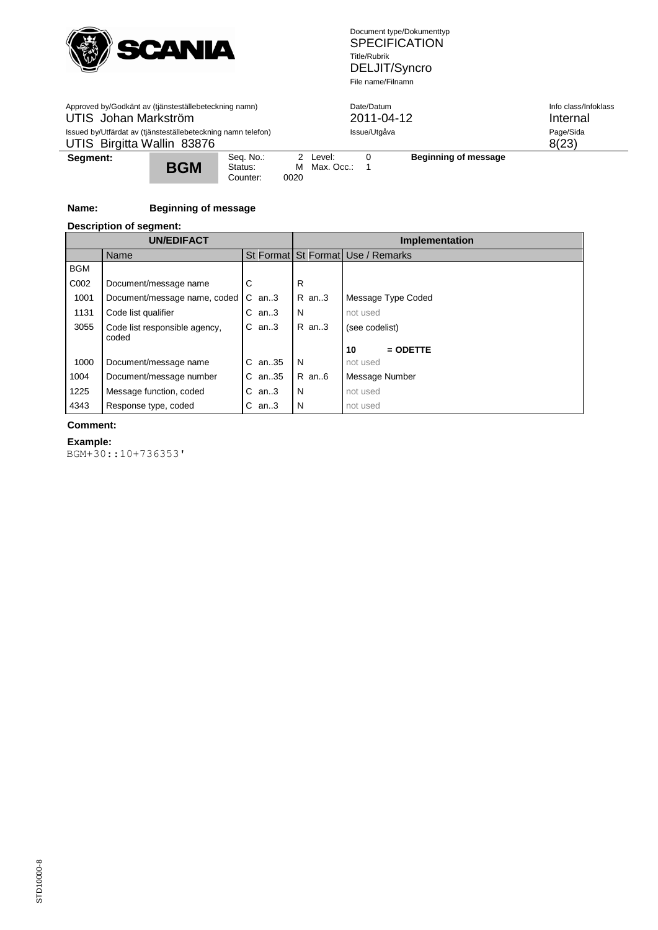

| Approved by/Godkänt av (tjänsteställebeteckning namn)<br>UTIS Johan Markström<br>Issued by/Utfärdat av (tjänsteställebeteckning namn telefon)<br>UTIS Birgitta Wallin 83876 |  |  |  | Date/Datum             | 2011-04-12<br>Issue/Utgåva | Info class/Infoklass<br>Internal<br>Page/Sida<br>8(23) |  |
|-----------------------------------------------------------------------------------------------------------------------------------------------------------------------------|--|--|--|------------------------|----------------------------|--------------------------------------------------------|--|
| Seq. No.:<br>Segment:<br><b>BGM</b><br>Status:<br>Counter:                                                                                                                  |  |  |  | 2 Level:<br>Max. Occ.: |                            | Beginning of message                                   |  |

## **Name: Beginning of message**

#### **Description of segment:**

|            | <b>UN/EDIFACT</b>                      |            |            | <b>Implementation</b>             |
|------------|----------------------------------------|------------|------------|-----------------------------------|
|            | Name                                   |            |            | St Format St Format Use / Remarks |
| <b>BGM</b> |                                        |            |            |                                   |
| C002       | Document/message name                  | С          | R          |                                   |
| 1001       | Document/message name, coded           | C<br>an3   | R an3      | Message Type Coded                |
| 1131       | Code list qualifier                    | C<br>an3   | N          | not used                          |
| 3055       | Code list responsible agency,<br>coded | C<br>an.3  | R an3      | (see codelist)                    |
|            |                                        |            |            | 10<br>$=$ ODETTE                  |
| 1000       | Document/message name                  | an35<br>C. | N          | not used                          |
| 1004       | Document/message number                | an35<br>C. | $R$ an $6$ | Message Number                    |
| 1225       | Message function, coded                | an3<br>C   | N          | not used                          |
| 4343       | Response type, coded                   | С<br>an3   | N          | not used                          |

#### **Comment:**

## **Example:**

BGM+30::10+736353'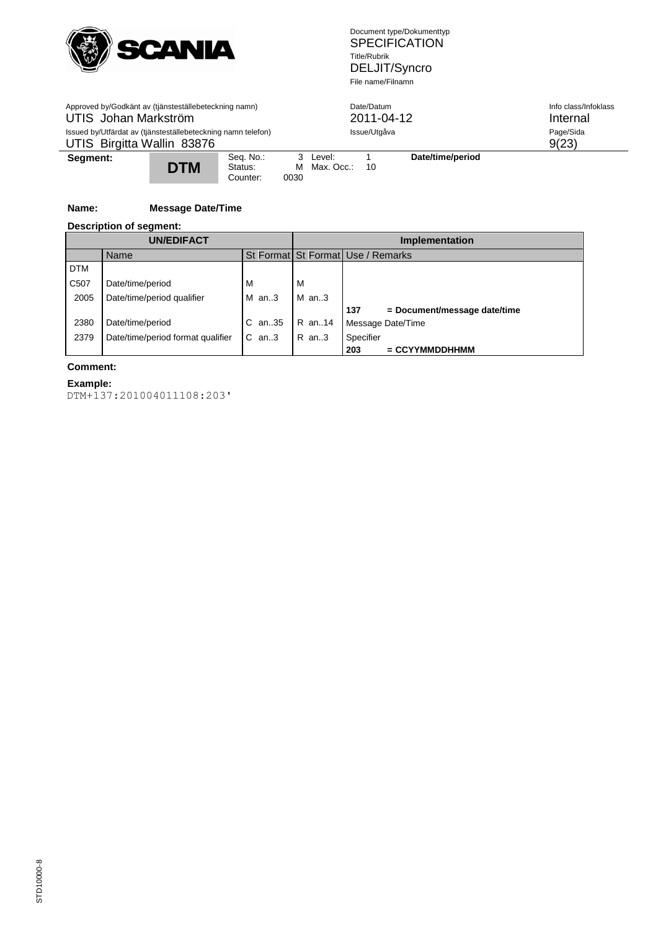

| Approved by/Godkänt av (tjänsteställebeteckning namn)<br>UTIS Johan Markström<br>Issued by/Utfärdat av (tjänsteställebeteckning namn telefon)<br>UTIS Birgitta Wallin 83876 |  |  |           |                           | Date/Datum<br>2011-04-12<br>Issue/Utgåva |                  | Info class/Infoklass<br>Internal<br>Page/Sida<br>9(23) |
|-----------------------------------------------------------------------------------------------------------------------------------------------------------------------------|--|--|-----------|---------------------------|------------------------------------------|------------------|--------------------------------------------------------|
| Seq. No.:<br>Segment:<br><b>DTM</b><br>Status:<br>Counter:                                                                                                                  |  |  | м<br>0030 | 3 Level:<br>Max. Occ.: 10 |                                          | Date/time/period |                                                        |

## **Name: Message Date/Time**

## **Description of segment:**

|                   | <b>UN/EDIFACT</b>                 |            |         | <b>Implementation</b>               |
|-------------------|-----------------------------------|------------|---------|-------------------------------------|
|                   | Name                              |            |         | St Format St Format Use / Remarks   |
| <b>DTM</b>        |                                   |            |         |                                     |
| C <sub>50</sub> 7 | Date/time/period                  | M          | м       |                                     |
| 2005              | Date/time/period qualifier        | $M$ an3    | $M$ an3 |                                     |
|                   |                                   |            |         | 137<br>= Document/message date/time |
| 2380              | Date/time/period                  | an35       | R an14  | Message Date/Time                   |
| 2379              | Date/time/period format qualifier | C.<br>an.3 | R an3   | Specifier                           |
|                   |                                   |            |         | $=$ CCYYMMDDHHMM<br>203             |

#### **Comment:**

## **Example:**

DTM+137:201004011108:203'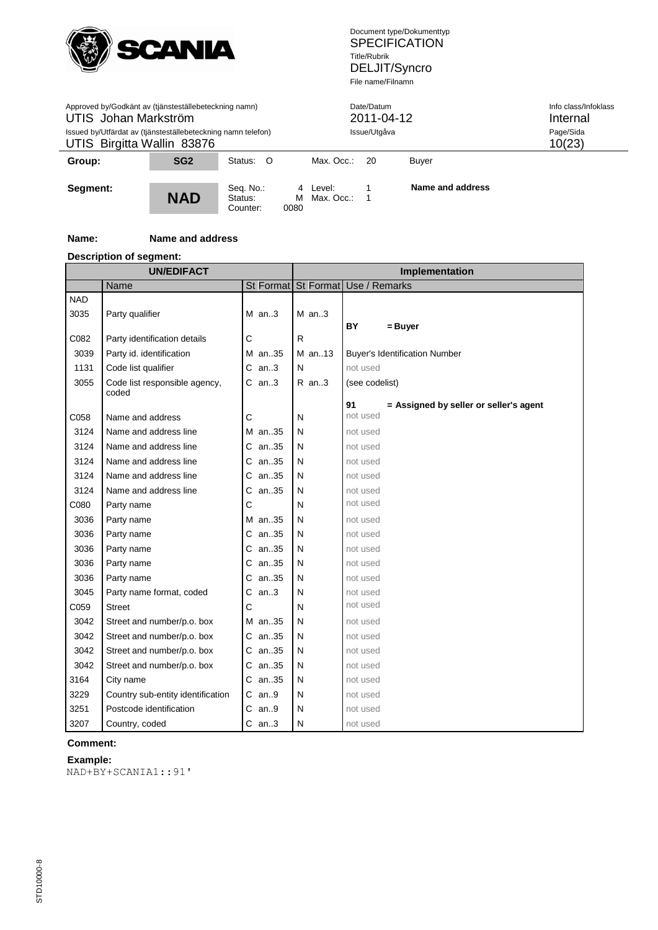

| Approved by/Godkänt av (tjänsteställebeteckning namn)<br>UTIS Johan Markström<br>Issued by/Utfärdat av (tjänsteställebeteckning namn telefon)<br>UTIS Birgitta Wallin 83876 |                 |           |  | Date/Datum<br>Issue/Utgåva | 2011-04-12 | Info class/Infoklass<br>Internal<br>Page/Sida<br>10(23) |  |
|-----------------------------------------------------------------------------------------------------------------------------------------------------------------------------|-----------------|-----------|--|----------------------------|------------|---------------------------------------------------------|--|
| Group:                                                                                                                                                                      | SG <sub>2</sub> | Status: O |  | Max. Occ.:<br>- 20         |            |                                                         |  |
| Seq. No.:<br>Segment:<br><b>NAD</b><br>м<br>Status:<br>0080<br>Counter:                                                                                                     |                 |           |  | 4 Level:<br>Max. Occ.:     |            | Name and address                                        |  |

## **Name: Name and address**

## **Description of segment:**

l,

|            | <b>UN/EDIFACT</b>                      |            |   |         | Implementation                               |
|------------|----------------------------------------|------------|---|---------|----------------------------------------------|
|            | Name                                   |            |   |         | St Format St Format Use / Remarks            |
| <b>NAD</b> |                                        |            |   |         |                                              |
| 3035       | Party qualifier                        | $M$ an3    |   | $M$ an3 |                                              |
|            |                                        |            |   |         | <b>BY</b><br>= Buyer                         |
| C082       | Party identification details           | С          | R |         |                                              |
| 3039       | Party id. identification               | M an35     |   | M an13  | <b>Buyer's Identification Number</b>         |
| 1131       | Code list qualifier                    | $C$ an3    | N |         | not used                                     |
| 3055       | Code list responsible agency,<br>coded | $C$ an3    |   | $R$ an3 | (see codelist)                               |
|            |                                        |            |   |         | 91<br>= Assigned by seller or seller's agent |
| C058       | Name and address                       | С          | N |         | not used                                     |
| 3124       | Name and address line                  | M an35     | N |         | not used                                     |
| 3124       | Name and address line                  | C an35     | N |         | not used                                     |
| 3124       | Name and address line                  | C an35     | N |         | not used                                     |
| 3124       | Name and address line                  | an35<br>С  | N |         | not used                                     |
| 3124       | Name and address line                  | an35<br>С  | N |         | not used                                     |
| C080       | Party name                             | С          | N |         | not used                                     |
| 3036       | Party name                             | M an35     | N |         | not used                                     |
| 3036       | Party name                             | C an35     | N |         | not used                                     |
| 3036       | Party name                             | C an35     | N |         | not used                                     |
| 3036       | Party name                             | C an35     | N |         | not used                                     |
| 3036       | Party name                             | an35<br>С  | N |         | not used                                     |
| 3045       | Party name format, coded               | an3<br>С   | N |         | not used                                     |
| C059       | <b>Street</b>                          | С          | N |         | not used                                     |
| 3042       | Street and number/p.o. box             | M an35     | N |         | not used                                     |
| 3042       | Street and number/p.o. box             | C an35     | N |         | not used                                     |
| 3042       | Street and number/p.o. box             | C an35     | N |         | not used                                     |
| 3042       | Street and number/p.o. box             | an35<br>C. | N |         | not used                                     |
| 3164       | City name                              | an35<br>С  | N |         | not used                                     |
| 3229       | Country sub-entity identification      | $C$ an9    | N |         | not used                                     |
| 3251       | Postcode identification                | С<br>an9   | N |         | not used                                     |
| 3207       | Country, coded                         | $C$ an3    | N |         | not used                                     |

## **Comment:**

## **Example:**

NAD+BY+SCANIA1::91'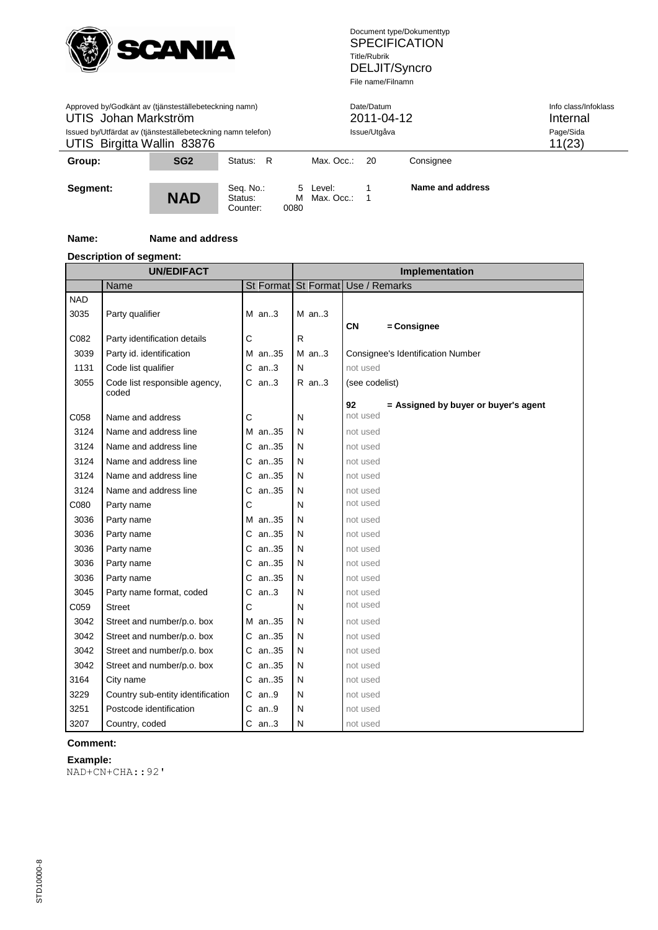

| Approved by/Godkänt av (tjänsteställebeteckning namn)<br>UTIS Johan Markström<br>Issued by/Utfärdat av (tjänsteställebeteckning namn telefon)<br>UTIS Birgitta Wallin 83876 |                 |           |  | Date/Datum<br>2011-04-12<br>Issue/Utgåva | Info class/Infoklass<br>Internal<br>Page/Sida<br>11(23) |                  |  |
|-----------------------------------------------------------------------------------------------------------------------------------------------------------------------------|-----------------|-----------|--|------------------------------------------|---------------------------------------------------------|------------------|--|
| Group:                                                                                                                                                                      | SG <sub>2</sub> | Status: R |  | Max. Occ.:<br>- 20                       |                                                         |                  |  |
| Seq. No.:<br>Segment:<br><b>NAD</b><br>м<br>Status:<br>0080<br>Counter:                                                                                                     |                 |           |  | 5 Level:<br>Max. Occ.:                   |                                                         | Name and address |  |

## **Name: Name and address**

## **Description of segment:**

 $\overline{a}$ 

|            | <b>UN/EDIFACT</b>                 |           |              |         | Implementation                             |
|------------|-----------------------------------|-----------|--------------|---------|--------------------------------------------|
|            | Name                              |           |              |         | St Format St Format Use / Remarks          |
| <b>NAD</b> |                                   |           |              |         |                                            |
| 3035       | Party qualifier                   | $M$ an3   |              | $M$ an3 |                                            |
|            |                                   |           |              |         | <b>CN</b><br>= Consignee                   |
| C082       | Party identification details      | C         | $\mathsf{R}$ |         |                                            |
| 3039       | Party id. identification          | M an35    |              | $M$ an3 | <b>Consignee's Identification Number</b>   |
| 1131       | Code list qualifier               | $C$ an3   | N            |         | not used                                   |
| 3055       | Code list responsible agency,     | $C$ an3   |              | $R$ an3 | (see codelist)                             |
|            | coded                             |           |              |         | 92<br>= Assigned by buyer or buyer's agent |
| C058       | Name and address                  | C         | N            |         | not used                                   |
| 3124       | Name and address line             | M an35    | N            |         | not used                                   |
| 3124       | Name and address line             | C an35    | N            |         | not used                                   |
| 3124       | Name and address line             | C an35    | N            |         | not used                                   |
| 3124       | Name and address line             | an35<br>С | N            |         | not used                                   |
| 3124       | Name and address line             | an35<br>С | N            |         | not used                                   |
| C080       | Party name                        | C         | N            |         | not used                                   |
| 3036       | Party name                        | M an35    | N            |         | not used                                   |
| 3036       | Party name                        | C an35    | N            |         | not used                                   |
| 3036       | Party name                        | C an35    | N            |         | not used                                   |
| 3036       | Party name                        | an35<br>С | N            |         | not used                                   |
| 3036       | Party name                        | an35<br>С | N            |         | not used                                   |
| 3045       | Party name format, coded          | an.3<br>С | N            |         | not used                                   |
| C059       | <b>Street</b>                     | Ċ         | N            |         | not used                                   |
| 3042       | Street and number/p.o. box        | M an35    | N            |         | not used                                   |
| 3042       | Street and number/p.o. box        | C an35    | N            |         | not used                                   |
| 3042       | Street and number/p.o. box        | C an35    | N            |         | not used                                   |
| 3042       | Street and number/p.o. box        | an35<br>С | N            |         | not used                                   |
| 3164       | City name                         | an35<br>С | N            |         | not used                                   |
| 3229       | Country sub-entity identification | $C$ an9   | N            |         | not used                                   |
| 3251       | Postcode identification           | С<br>an9  | N            |         | not used                                   |
| 3207       | Country, coded                    | $C$ an3   | N            |         | not used                                   |

## **Comment:**

## **Example:**

NAD+CN+CHA::92'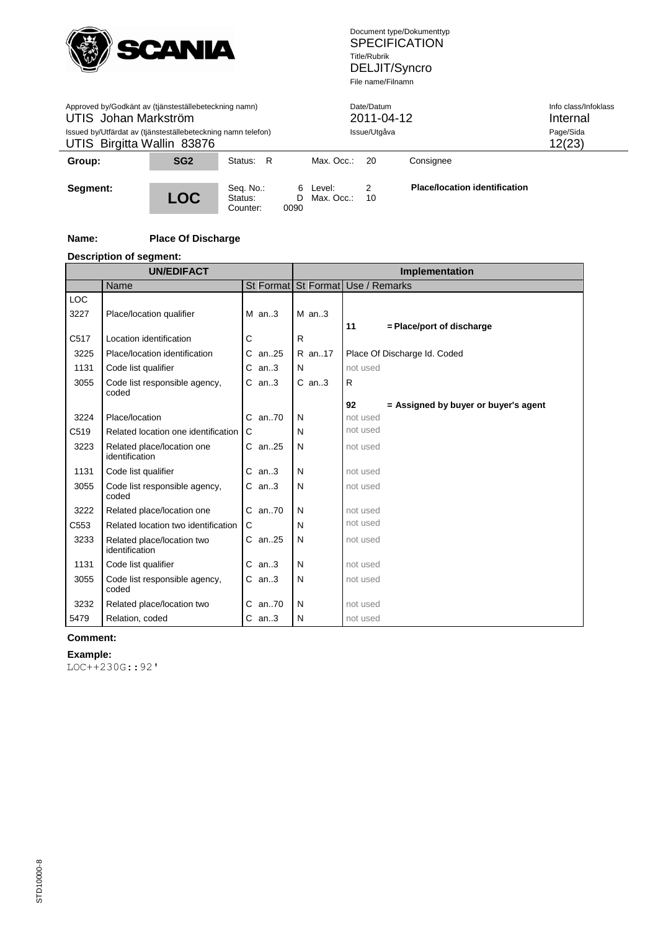

| Approved by/Godkänt av (tjänsteställebeteckning namn)<br>UTIS Johan Markström<br>Issued by/Utfärdat av (tjänsteställebeteckning namn telefon)<br>UTIS Birgitta Wallin 83876 |                 |           |  | Date/Datum<br>2011-04-12<br>Issue/Utgåva |           | Info class/Infoklass<br>Internal<br>Page/Sida<br>12(23) |  |
|-----------------------------------------------------------------------------------------------------------------------------------------------------------------------------|-----------------|-----------|--|------------------------------------------|-----------|---------------------------------------------------------|--|
| Group:                                                                                                                                                                      | SG <sub>2</sub> | Status: R |  | Max. Occ.:<br>- 20                       | Consignee |                                                         |  |
| Seq. No.:<br>Segment:<br><b>LOC</b><br>D<br>Status:<br>0090<br>Counter:                                                                                                     |                 |           |  | 6 Level:<br>Max. Occ.:                   | 2<br>10   | <b>Place/location identification</b>                    |  |

## **Name: Place Of Discharge**

## **Description of segment:**

 $\overline{a}$ 

|      | <b>UN/EDIFACT</b>                            |           |   | <b>Implementation</b> |                                            |  |  |
|------|----------------------------------------------|-----------|---|-----------------------|--------------------------------------------|--|--|
|      | Name                                         |           |   |                       | St Format St Format Use / Remarks          |  |  |
| LOC  |                                              |           |   |                       |                                            |  |  |
| 3227 | Place/location qualifier                     | $M$ an3   |   | $M$ an. $3$           |                                            |  |  |
|      |                                              |           |   |                       | 11<br>= Place/port of discharge            |  |  |
| C517 | Location identification                      | С         | R |                       |                                            |  |  |
| 3225 | Place/location identification                | an25<br>С |   | R an17                | Place Of Discharge Id. Coded               |  |  |
| 1131 | Code list qualifier                          | an3<br>C  | N |                       | not used                                   |  |  |
| 3055 | Code list responsible agency,                | $C$ an3   |   | $C$ an3               | R                                          |  |  |
|      | coded                                        |           |   |                       |                                            |  |  |
|      |                                              |           |   |                       | 92<br>= Assigned by buyer or buyer's agent |  |  |
| 3224 | Place/location                               | C an70    | N |                       | not used                                   |  |  |
| C519 | Related location one identification          | C         | N |                       | not used                                   |  |  |
| 3223 | Related place/location one<br>identification | C an25    | N |                       | not used                                   |  |  |
| 1131 | Code list qualifier                          | $C$ an3   | N |                       | not used                                   |  |  |
| 3055 | Code list responsible agency,<br>coded       | $C$ an3   | N |                       | not used                                   |  |  |
| 3222 | Related place/location one                   | C an70    | N |                       | not used                                   |  |  |
| C553 | Related location two identification          | C         | N |                       | not used                                   |  |  |
| 3233 | Related place/location two<br>identification | C an25    | N |                       | not used                                   |  |  |
| 1131 | Code list qualifier                          | an3<br>С  | N |                       | not used                                   |  |  |
| 3055 | Code list responsible agency,<br>coded       | $C$ an3   | N |                       | not used                                   |  |  |
| 3232 | Related place/location two                   | C an70    | N |                       | not used                                   |  |  |
| 5479 | Relation, coded                              | $C$ an3   | N |                       | not used                                   |  |  |

#### **Comment:**

## **Example:**

LOC++230G::92'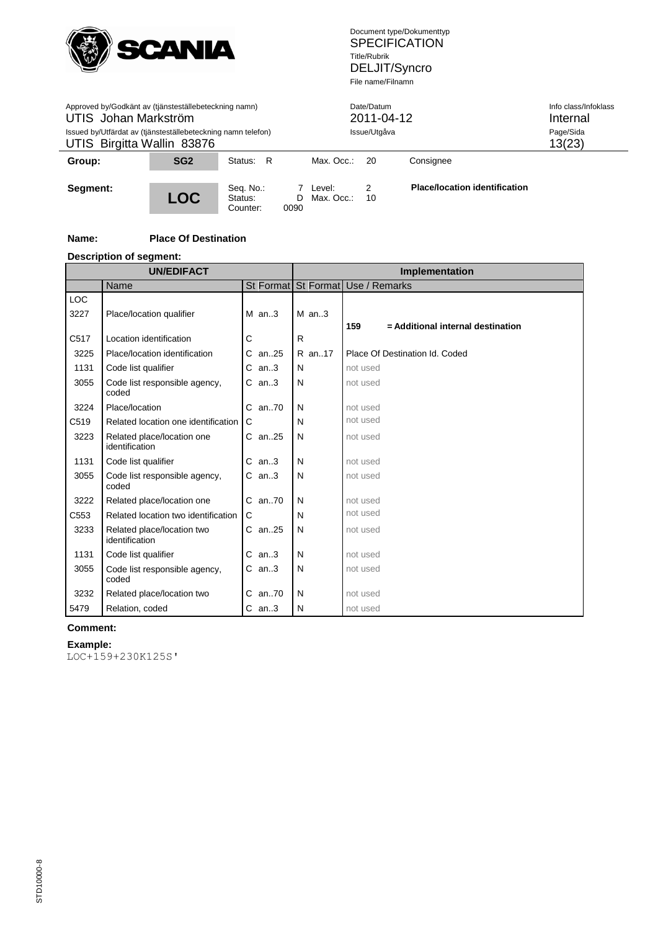

| Approved by/Godkänt av (tjänsteställebeteckning namn)<br>UTIS Johan Markström<br>Issued by/Utfärdat av (tjänsteställebeteckning namn telefon)<br>UTIS Birgitta Wallin 83876 |                 |                                  |      | Date/Datum<br>2011-04-12<br>Issue/Utgåva |         |                                      | Info class/Infoklass<br>Internal<br>Page/Sida<br>13(23) |
|-----------------------------------------------------------------------------------------------------------------------------------------------------------------------------|-----------------|----------------------------------|------|------------------------------------------|---------|--------------------------------------|---------------------------------------------------------|
| Group:                                                                                                                                                                      | SG <sub>2</sub> | Status: R                        |      | Max. Occ.: $20$                          |         | Consignee                            |                                                         |
| Segment:                                                                                                                                                                    | <b>LOC</b>      | Seq. No.:<br>Status:<br>Counter: | 0090 | 7 Level:<br>D Max. Occ.:                 | 2<br>10 | <b>Place/location identification</b> |                                                         |

## **Name: Place Of Destination**

## **Description of segment:**

|                  | <b>UN/EDIFACT</b>                            |            | Implementation |                                          |  |  |
|------------------|----------------------------------------------|------------|----------------|------------------------------------------|--|--|
|                  | Name                                         |            |                | St Format St Format Use / Remarks        |  |  |
| LOC              |                                              |            |                |                                          |  |  |
| 3227             | Place/location qualifier                     | $M$ an3    | $M$ an3        |                                          |  |  |
|                  |                                              |            |                | 159<br>= Additional internal destination |  |  |
| C517             | Location identification                      | С          | R              |                                          |  |  |
| 3225             | Place/location identification                | $C$ an. 25 | R an17         | Place Of Destination Id. Coded           |  |  |
| 1131             | Code list qualifier                          | an3<br>С   | N              | not used                                 |  |  |
| 3055             | Code list responsible agency,<br>coded       | $C$ an3    | N              | not used                                 |  |  |
| 3224             | Place/location                               | C an70     | N              | not used                                 |  |  |
| C519             | Related location one identification          | C          | N              | not used                                 |  |  |
| 3223             | Related place/location one<br>identification | $C$ an. 25 | N              | not used                                 |  |  |
| 1131             | Code list qualifier                          | an3<br>С   | N              | not used                                 |  |  |
| 3055             | Code list responsible agency,<br>coded       | $C$ an3    | N              | not used                                 |  |  |
| 3222             | Related place/location one                   | C an70     | N              | not used                                 |  |  |
| C <sub>553</sub> | Related location two identification          | C          | N              | not used                                 |  |  |
| 3233             | Related place/location two<br>identification | $C$ an. 25 | N              | not used                                 |  |  |
| 1131             | Code list qualifier                          | $C$ an3    | N              | not used                                 |  |  |
| 3055             | Code list responsible agency,<br>coded       | $C$ an3    | N              | not used                                 |  |  |
| 3232             | Related place/location two                   | $C$ an70   | N              | not used                                 |  |  |
| 5479             | Relation, coded                              | $C$ an3    | N              | not used                                 |  |  |

## **Comment:**

**Example:** LOC+159+230K125S'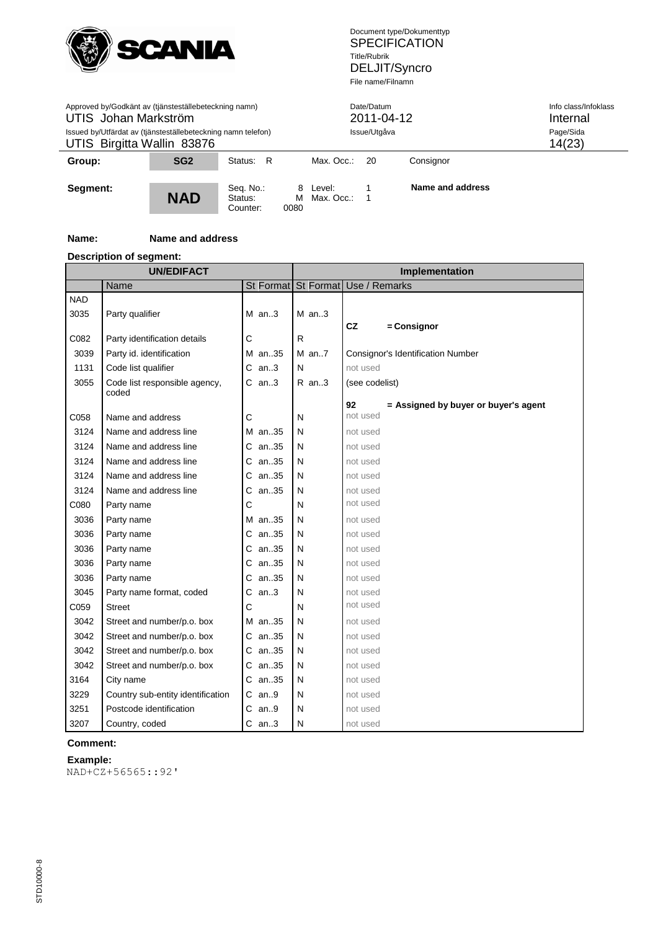

| Approved by/Godkänt av (tjänsteställebeteckning namn)<br>UTIS Johan Markström<br>Issued by/Utfärdat av (tjänsteställebeteckning namn telefon)<br>UTIS Birgitta Wallin 83876 |                 |                                  |           | Date/Datum<br>2011-04-12<br>Issue/Utgåva | Info class/Infoklass<br>Internal<br>Page/Sida<br>14(23) |                  |  |
|-----------------------------------------------------------------------------------------------------------------------------------------------------------------------------|-----------------|----------------------------------|-----------|------------------------------------------|---------------------------------------------------------|------------------|--|
| Group:                                                                                                                                                                      | SG <sub>2</sub> | Status: R                        |           | Max. Occ.:                               | - 20                                                    | Consignor        |  |
| Segment:                                                                                                                                                                    | <b>NAD</b>      | Seq. No.:<br>Status:<br>Counter: | м<br>0080 | 8 Level:<br>Max. Occ.:                   | - 1                                                     | Name and address |  |

## **Name: Name and address**

## **Description of segment:**

 $\overline{a}$ 

| <b>UN/EDIFACT</b> |                                        |           |   | Implementation |                                            |  |  |
|-------------------|----------------------------------------|-----------|---|----------------|--------------------------------------------|--|--|
|                   | Name                                   |           |   |                | St Format St Format Use / Remarks          |  |  |
| <b>NAD</b>        |                                        |           |   |                |                                            |  |  |
| 3035              | Party qualifier                        | $M$ an3   |   | $M$ an3        |                                            |  |  |
|                   |                                        |           |   |                | <b>CZ</b><br>= Consignor                   |  |  |
| C082              | Party identification details           | C         | R |                |                                            |  |  |
| 3039              | Party id. identification               | M an35    |   | M an7          | Consignor's Identification Number          |  |  |
| 1131              | Code list qualifier                    | $C$ an3   | N |                | not used                                   |  |  |
| 3055              | Code list responsible agency,<br>coded | $C$ an3   |   | R an3          | (see codelist)                             |  |  |
|                   |                                        |           |   |                | 92<br>= Assigned by buyer or buyer's agent |  |  |
| C058              | Name and address                       | C         | N |                | not used                                   |  |  |
| 3124              | Name and address line                  | M an35    | N |                | not used                                   |  |  |
| 3124              | Name and address line                  | C an35    | N |                | not used                                   |  |  |
| 3124              | Name and address line                  | an35<br>С | N |                | not used                                   |  |  |
| 3124              | Name and address line                  | an35<br>С | N |                | not used                                   |  |  |
| 3124              | Name and address line                  | an35<br>С | N |                | not used                                   |  |  |
| C080              | Party name                             | C         | N |                | not used                                   |  |  |
| 3036              | Party name                             | M an35    | N |                | not used                                   |  |  |
| 3036              | Party name                             | C an35    | N |                | not used                                   |  |  |
| 3036              | Party name                             | C an35    | N |                | not used                                   |  |  |
| 3036              | Party name                             | an35<br>C | N |                | not used                                   |  |  |
| 3036              | Party name                             | an35<br>С | N |                | not used                                   |  |  |
| 3045              | Party name format, coded               | an.3<br>С | N |                | not used                                   |  |  |
| C059              | <b>Street</b>                          | Ċ         | N |                | not used                                   |  |  |
| 3042              | Street and number/p.o. box             | M an35    | N |                | not used                                   |  |  |
| 3042              | Street and number/p.o. box             | C an35    | N |                | not used                                   |  |  |
| 3042              | Street and number/p.o. box             | C an35    | N |                | not used                                   |  |  |
| 3042              | Street and number/p.o. box             | an35<br>С | N |                | not used                                   |  |  |
| 3164              | City name                              | an35<br>С | N |                | not used                                   |  |  |
| 3229              | Country sub-entity identification      | $C$ an9   | N |                | not used                                   |  |  |
| 3251              | Postcode identification                | С<br>an9  | N |                | not used                                   |  |  |
| 3207              | Country, coded                         | $C$ an3   | N |                | not used                                   |  |  |

## **Comment:**

## **Example:**

NAD+CZ+56565::92'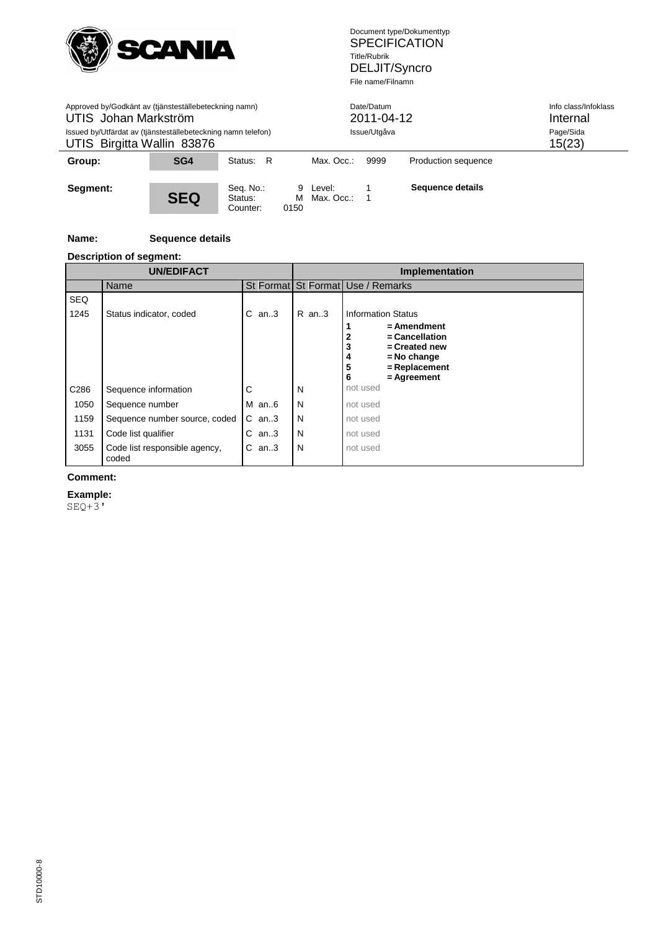

| Approved by/Godkänt av (tjänsteställebeteckning namn)<br>UTIS Johan Markström<br>Issued by/Utfärdat av (tjänsteställebeteckning namn telefon)<br>UTIS Birgitta Wallin 83876 |            |                                  |           | Date/Datum<br>2011-04-12<br>Issue/Utgåva | Info class/Infoklass<br>Internal<br>Page/Sida<br>15(23) |                     |  |
|-----------------------------------------------------------------------------------------------------------------------------------------------------------------------------|------------|----------------------------------|-----------|------------------------------------------|---------------------------------------------------------|---------------------|--|
| Group:                                                                                                                                                                      | SG4        | Status: R                        |           | Max. Occ.:                               | 9999                                                    | Production sequence |  |
| Segment:                                                                                                                                                                    | <b>SEQ</b> | Seq. No.:<br>Status:<br>Counter: | М<br>0150 | 9 Level:<br>Max. Occ.:                   |                                                         | Sequence details    |  |

## **Name: Sequence details**

## **Description of segment:**

|            | <b>UN/EDIFACT</b>                      |             |         | Implementation                                                                                                             |  |  |  |
|------------|----------------------------------------|-------------|---------|----------------------------------------------------------------------------------------------------------------------------|--|--|--|
|            | Name                                   |             |         | St Format St Format Use / Remarks                                                                                          |  |  |  |
| <b>SEQ</b> |                                        |             |         |                                                                                                                            |  |  |  |
| 1245       | Status indicator, coded                | an3<br>С    | $R$ an3 | Information Status                                                                                                         |  |  |  |
|            |                                        |             |         | $=$ Amendment<br>= Cancellation<br>2<br>3<br>= Created new<br>$=$ No change<br>4<br>5<br>= Replacement<br>6<br>= Agreement |  |  |  |
| C286       | Sequence information                   | С           | N       | not used                                                                                                                   |  |  |  |
| 1050       | Sequence number                        | $M$ an6     | N       | not used                                                                                                                   |  |  |  |
| 1159       | Sequence number source, coded          | $C$ an3     | N       | not used                                                                                                                   |  |  |  |
| 1131       | Code list qualifier                    | С<br>an $3$ | N       | not used                                                                                                                   |  |  |  |
| 3055       | Code list responsible agency,<br>coded | С<br>an.3   | N       | not used                                                                                                                   |  |  |  |

## **Comment:**

**Example:**

SEQ+3'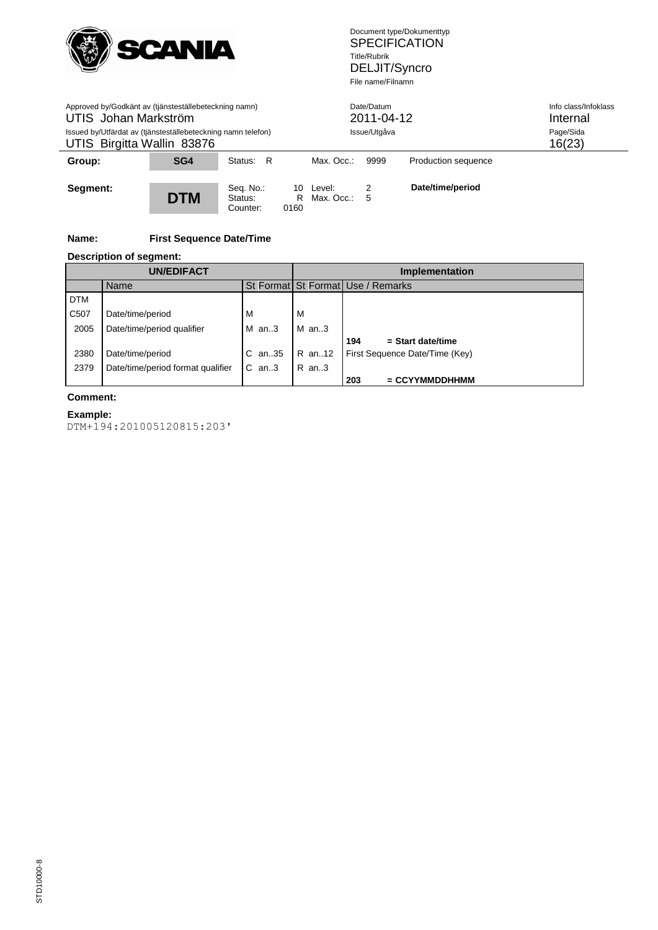

| Approved by/Godkänt av (tjänsteställebeteckning namn)<br>UTIS Johan Markström<br>Issued by/Utfärdat av (tjänsteställebeteckning namn telefon)<br>UTIS Birgitta Wallin 83876 |            |                                  |      | Date/Datum<br>2011-04-12<br>Issue/Utgåva | Info class/Infoklass<br>Internal<br>Page/Sida<br>16(23) |                     |  |
|-----------------------------------------------------------------------------------------------------------------------------------------------------------------------------|------------|----------------------------------|------|------------------------------------------|---------------------------------------------------------|---------------------|--|
| Group:                                                                                                                                                                      | SG4        | Status: R                        |      | Max. Occ.:                               | 9999                                                    | Production sequence |  |
| Segment:                                                                                                                                                                    | <b>DTM</b> | Seq. No.:<br>Status:<br>Counter: | 0160 | 10 Level:<br>R Max. Occ.:                | 2<br>5                                                  | Date/time/period    |  |

## **Name: First Sequence Date/Time**

#### **Description of segment:**

|                   | <b>UN/EDIFACT</b>                 |            | <b>Implementation</b> |                                   |  |  |
|-------------------|-----------------------------------|------------|-----------------------|-----------------------------------|--|--|
|                   | Name                              |            |                       | St Format St Format Use / Remarks |  |  |
| <b>DTM</b>        |                                   |            |                       |                                   |  |  |
| C <sub>50</sub> 7 | Date/time/period                  | M          | м                     |                                   |  |  |
| 2005              | Date/time/period qualifier        | $M$ an3    | $M$ an3               |                                   |  |  |
|                   |                                   |            |                       | $=$ Start date/time<br>194        |  |  |
| 2380              | Date/time/period                  | $C$ an. 35 | R an12                | First Sequence Date/Time (Key)    |  |  |
| 2379              | Date/time/period format qualifier | $C$ an3    | $R$ an3               |                                   |  |  |
|                   |                                   |            |                       | 203<br>$=$ CCYYMMDDHHMM           |  |  |

## **Comment:**

l,

STD10000-8

#### **Example:** DTM+194:201005120815:203'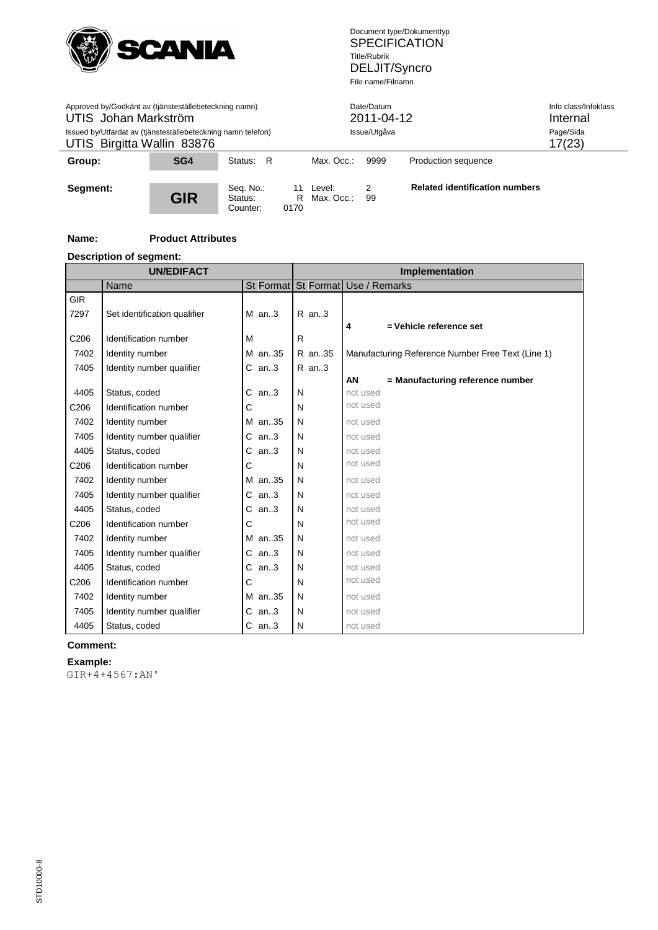

| Approved by/Godkänt av (tjänsteställebeteckning namn)<br>UTIS Johan Markström<br>Issued by/Utfärdat av (tjänsteställebeteckning namn telefon)<br>UTIS Birgitta Wallin 83876 |            |                                  |                  | Date/Datum<br>Issue/Utgåva | 2011-04-12 | Info class/Infoklass<br>Internal<br>Page/Sida<br>17(23) |  |
|-----------------------------------------------------------------------------------------------------------------------------------------------------------------------------|------------|----------------------------------|------------------|----------------------------|------------|---------------------------------------------------------|--|
| Group:                                                                                                                                                                      | SG4        | Status: R                        |                  | Max. Occ.:                 | 9999       | Production sequence                                     |  |
| Segment:                                                                                                                                                                    | <b>GIR</b> | Seq. No.:<br>Status:<br>Counter: | 11<br>R.<br>0170 | Level:<br>Max. Occ.:       | 99         | <b>Related identification numbers</b>                   |  |

## **Name: Product Attributes**

## **Description of segment:**

|                  | <b>UN/EDIFACT</b>            |           | <b>Implementation</b> |                                                   |  |  |
|------------------|------------------------------|-----------|-----------------------|---------------------------------------------------|--|--|
|                  | Name                         |           |                       | St Format St Format Use / Remarks                 |  |  |
| <b>GIR</b>       |                              |           |                       |                                                   |  |  |
| 7297             | Set identification qualifier | $M$ an3   | $R$ an3               |                                                   |  |  |
|                  |                              |           |                       | 4<br>= Vehicle reference set                      |  |  |
| C206             | Identification number        | M         | R                     |                                                   |  |  |
| 7402             | Identity number              | M an35    | R an35                | Manufacturing Reference Number Free Text (Line 1) |  |  |
| 7405             | Identity number qualifier    | $C$ an3   | R an3                 |                                                   |  |  |
|                  |                              |           |                       | AN<br>= Manufacturing reference number            |  |  |
| 4405             | Status, coded                | C<br>an.3 | N                     | not used                                          |  |  |
| C <sub>206</sub> | Identification number        | C         | N                     | not used                                          |  |  |
| 7402             | Identity number              | M an35    | N                     | not used                                          |  |  |
| 7405             | Identity number qualifier    | $C$ an3   | N                     | not used                                          |  |  |
| 4405             | Status, coded                | С<br>an.3 | N                     | not used                                          |  |  |
| C <sub>206</sub> | Identification number        | C         | N                     | not used                                          |  |  |
| 7402             | Identity number              | M an35    | N                     | not used                                          |  |  |
| 7405             | Identity number qualifier    | C<br>an.3 | N                     | not used                                          |  |  |
| 4405             | Status, coded                | C<br>an.3 | N                     | not used                                          |  |  |
| C <sub>206</sub> | Identification number        | C         | N                     | not used                                          |  |  |
| 7402             | Identity number              | M an35    | N                     | not used                                          |  |  |
| 7405             | Identity number qualifier    | С<br>an.3 | N                     | not used                                          |  |  |
| 4405             | Status, coded                | C<br>an.3 | N                     | not used                                          |  |  |
| C <sub>206</sub> | Identification number        | C         | N                     | not used                                          |  |  |
| 7402             | Identity number              | M an35    | N                     | not used                                          |  |  |
| 7405             | Identity number qualifier    | $C$ an3   | N                     | not used                                          |  |  |
| 4405             | Status, coded                | $C$ an3   | N                     | not used                                          |  |  |

## **Comment:**

#### **Example:**

GIR+4+4567:AN'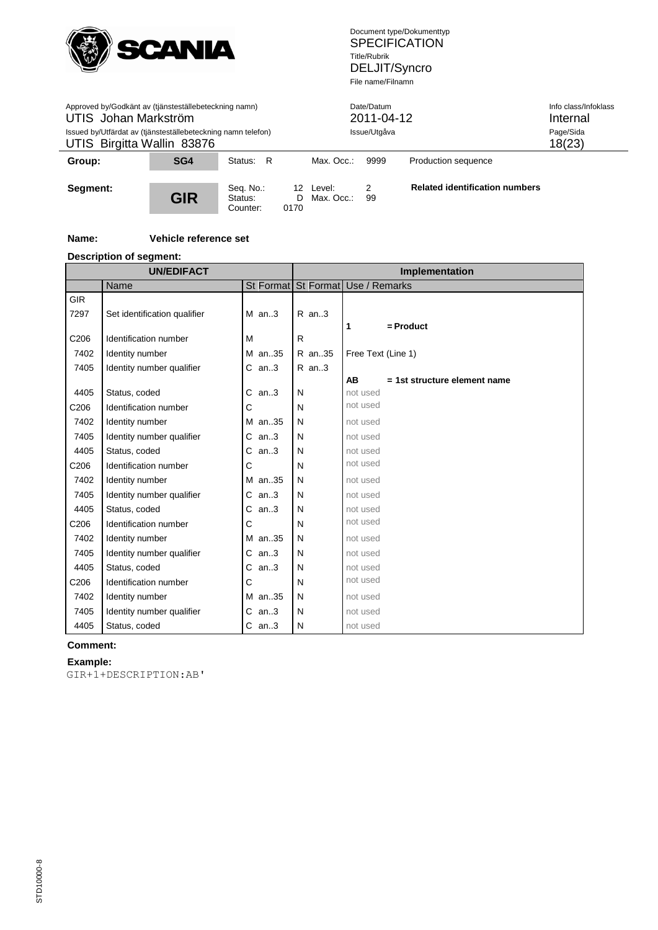

| Approved by/Godkänt av (tjänsteställebeteckning namn)<br>UTIS Johan Markström<br>Issued by/Utfärdat av (tjänsteställebeteckning namn telefon)<br>UTIS Birgitta Wallin 83876 |            |                                  |      | Date/Datum<br>Issue/Utgåva   | 2011-04-12 | Info class/Infoklass<br>Internal<br>Page/Sida<br>18(23) |  |
|-----------------------------------------------------------------------------------------------------------------------------------------------------------------------------|------------|----------------------------------|------|------------------------------|------------|---------------------------------------------------------|--|
| Group:                                                                                                                                                                      | SG4        | Status: R                        |      | Max. Occ.:                   | 9999       | Production sequence                                     |  |
| Segment:                                                                                                                                                                    | <b>GIR</b> | Seq. No.:<br>Status:<br>Counter: | 0170 | 12 Level:<br>D Max. Occ.: 99 | 2          | <b>Related identification numbers</b>                   |  |

## **Name: Vehicle reference set**

## **Description of segment:**

| <b>UN/EDIFACT</b> |                              |              | Implementation      |                                       |  |
|-------------------|------------------------------|--------------|---------------------|---------------------------------------|--|
|                   | Name                         |              | St Format St Format | Use / Remarks                         |  |
| <b>GIR</b>        |                              |              |                     |                                       |  |
| 7297              | Set identification qualifier | $M$ an3      | R an3               |                                       |  |
|                   |                              |              |                     | $=$ Product<br>1                      |  |
| C <sub>206</sub>  | Identification number        | M            | $\mathsf{R}$        |                                       |  |
| 7402              | Identity number              | M an35       | R an35              | Free Text (Line 1)                    |  |
| 7405              | Identity number qualifier    | $C$ an3      | $R$ an3             |                                       |  |
|                   |                              |              |                     | AB<br>$= 1$ st structure element name |  |
| 4405              | Status, coded                | C<br>an.3    | N                   | not used                              |  |
| C206              | Identification number        | C            | N                   | not used                              |  |
| 7402              | Identity number              | M an35       | N                   | not used                              |  |
| 7405              | Identity number qualifier    | an3<br>С     | N                   | not used                              |  |
| 4405              | Status, coded                | С<br>an3     | N                   | not used                              |  |
| C <sub>206</sub>  | Identification number        | C            | N                   | not used                              |  |
| 7402              | Identity number              | M an35       | N                   | not used                              |  |
| 7405              | Identity number qualifier    | С<br>an.3    | N                   | not used                              |  |
| 4405              | Status, coded                | C<br>an3     | N                   | not used                              |  |
| C <sub>206</sub>  | Identification number        | С            | N                   | not used                              |  |
| 7402              | Identity number              | M an.35      | N                   | not used                              |  |
| 7405              | Identity number qualifier    | С<br>an.3    | N                   | not used                              |  |
| 4405              | Status, coded                | C<br>an.3    | N                   | not used                              |  |
| C <sub>206</sub>  | Identification number        | $\mathsf{C}$ | N                   | not used                              |  |
| 7402              | Identity number              | M an35       | N                   | not used                              |  |
| 7405              | Identity number qualifier    | $C$ an3      | N                   | not used                              |  |
| 4405              | Status, coded                | $C$ an3      | N                   | not used                              |  |

## **Comment:**

## **Example:**

GIR+1+DESCRIPTION:AB'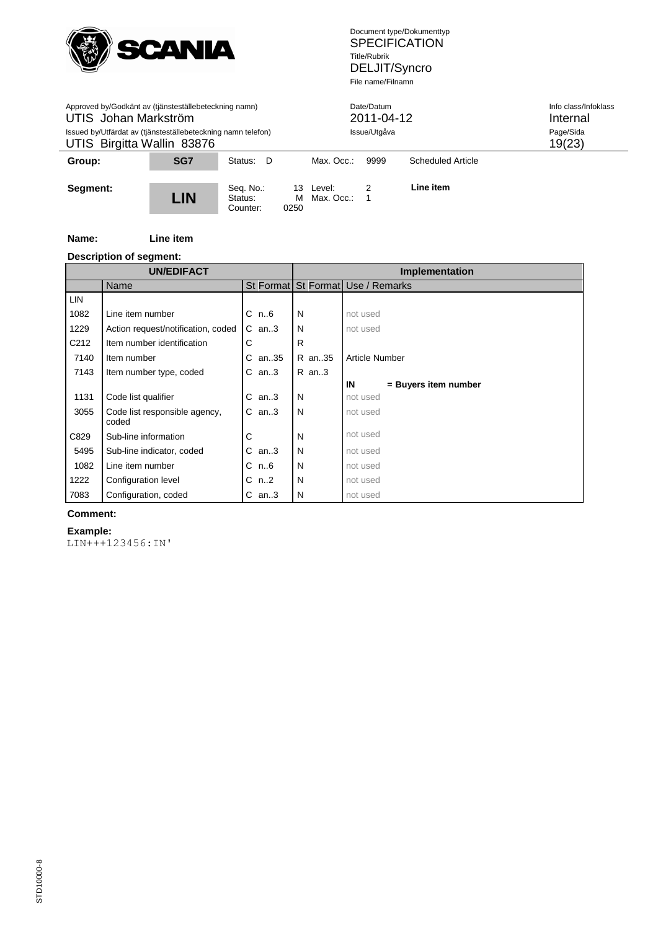

| Approved by/Godkänt av (tjänsteställebeteckning namn)<br>UTIS Johan Markström<br>Issued by/Utfärdat av (tjänsteställebeteckning namn telefon)<br>UTIS Birgitta Wallin 83876 |            |                                  |                 | Date/Datum<br>2011-04-12<br>Issue/Utgåva |      |                   | Info class/Infoklass<br>Internal<br>Page/Sida<br>19(23) |
|-----------------------------------------------------------------------------------------------------------------------------------------------------------------------------|------------|----------------------------------|-----------------|------------------------------------------|------|-------------------|---------------------------------------------------------|
| Group:                                                                                                                                                                      | <b>SG7</b> | Status: D                        |                 | Max. Occ.:                               | 9999 | Scheduled Article |                                                         |
| Segment:                                                                                                                                                                    | LIN        | Seq. No.:<br>Status:<br>Counter: | 13<br>м<br>0250 | Level:<br>Max. Occ.:                     |      | Line item         |                                                         |

## **Name: Line item**

## **Description of segment:**

| <b>UN/EDIFACT</b> |                                        |            | Implementation |                                   |  |
|-------------------|----------------------------------------|------------|----------------|-----------------------------------|--|
|                   | <b>Name</b>                            |            |                | St Format St Format Use / Remarks |  |
| <b>LIN</b>        |                                        |            |                |                                   |  |
| 1082              | Line item number                       | $C$ n $6$  | N              | not used                          |  |
| 1229              | Action request/notification, coded     | $C$ an3    | N              | not used                          |  |
| C212              | Item number identification             | C          | R              |                                   |  |
| 7140              | Item number                            | an35<br>C  | R an35         | Article Number                    |  |
| 7143              | Item number type, coded                | $C$ an3    | R an3          |                                   |  |
|                   |                                        |            |                | IN<br>= Buyers item number        |  |
| 1131              | Code list qualifier                    | an.3<br>C. | N              | not used                          |  |
| 3055              | Code list responsible agency,<br>coded | $C$ an3    | N              | not used                          |  |
| C829              | Sub-line information                   | С          | N              | not used                          |  |
| 5495              | Sub-line indicator, coded              | С<br>an3   | N              | not used                          |  |
| 1082              | Line item number                       | $C$ n $6$  | N              | not used                          |  |
| 1222              | Configuration level                    | n2<br>С    | N              | not used                          |  |
| 7083              | Configuration, coded                   | $C$ an3    | N              | not used                          |  |

## **Comment:**

**Example:** LIN+++123456:IN'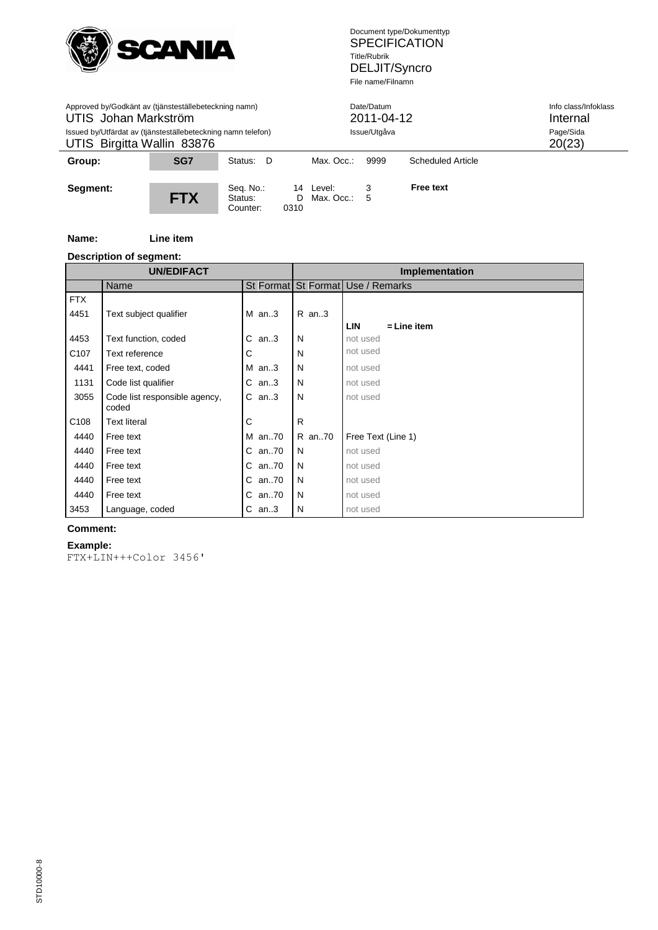

| Approved by/Godkänt av (tjänsteställebeteckning namn)<br>UTIS Johan Markström<br>Issued by/Utfärdat av (tjänsteställebeteckning namn telefon)<br>UTIS Birgitta Wallin 83876 |            |                                  |      | Date/Datum<br>2011-04-12<br>Issue/Utgåva |      |                   | Info class/Infoklass<br>Internal<br>Page/Sida<br>20(23) |
|-----------------------------------------------------------------------------------------------------------------------------------------------------------------------------|------------|----------------------------------|------|------------------------------------------|------|-------------------|---------------------------------------------------------|
| Group:                                                                                                                                                                      | SG7        | Status: D                        |      | Max. Occ.:                               | 9999 | Scheduled Article |                                                         |
| Segment:                                                                                                                                                                    | <b>FTX</b> | Seq. No.:<br>Status:<br>Counter: | 0310 | 14 Level:<br>$D$ Max. Occ.: 5            | 3    | <b>Free text</b>  |                                                         |

#### **Name: Line item**

## **Description of segment:**

|                  | ssspas e. seg<br><b>UN/EDIFACT</b>     |           | Implementation |                                   |  |
|------------------|----------------------------------------|-----------|----------------|-----------------------------------|--|
|                  | Name                                   |           |                | St Format St Format Use / Remarks |  |
| <b>FTX</b>       |                                        |           |                |                                   |  |
| 4451             | Text subject qualifier                 | $M$ an3   | $R$ an3        |                                   |  |
|                  |                                        |           |                | $=$ Line item<br><b>LIN</b>       |  |
| 4453             | Text function, coded                   | C.<br>an3 | N              | not used                          |  |
| C <sub>107</sub> | Text reference                         | С         | N              | not used                          |  |
| 4441             | Free text, coded                       | $M$ an3   | N              | not used                          |  |
| 1131             | Code list qualifier                    | $C$ an3   | N              | not used                          |  |
| 3055             | Code list responsible agency,<br>coded | $C$ an3   | N              | not used                          |  |
| C <sub>108</sub> | <b>Text literal</b>                    | С         | R.             |                                   |  |
| 4440             | Free text                              | M an70    | R an70         | Free Text (Line 1)                |  |
| 4440             | Free text                              | C an70    | N              | not used                          |  |
| 4440             | Free text                              | C an70    | N              | not used                          |  |
| 4440             | Free text                              | C an70    | N              | not used                          |  |
| 4440             | Free text                              | C an70    | N              | not used                          |  |
| 3453             | Language, coded                        | $C$ an3   | N              | not used                          |  |

## **Comment:**

#### **Example:**

```
FTX+LIN+++Color 3456'
```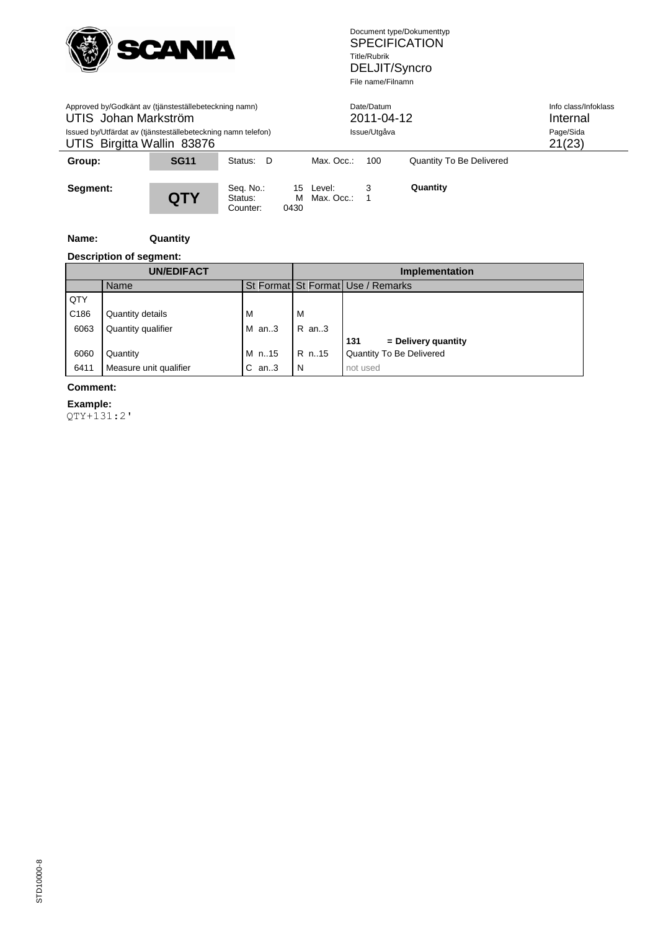

| Approved by/Godkänt av (tjänsteställebeteckning namn)<br>UTIS Johan Markström<br>Issued by/Utfärdat av (tjänsteställebeteckning namn telefon)<br>UTIS Birgitta Wallin 83876 |             |                                  |           | Date/Datum<br>2011-04-12<br>Issue/Utgåva |     |                          | Info class/Infoklass<br>Internal<br>Page/Sida<br>21(23) |
|-----------------------------------------------------------------------------------------------------------------------------------------------------------------------------|-------------|----------------------------------|-----------|------------------------------------------|-----|--------------------------|---------------------------------------------------------|
| Group:                                                                                                                                                                      | <b>SG11</b> | Status: D                        |           | Max. Occ.:                               | 100 | Quantity To Be Delivered |                                                         |
| Segment:                                                                                                                                                                    | QTY         | Seq. No.:<br>Status:<br>Counter: | м<br>0430 | 15 Level:<br>Max. Occ.:                  | 3   | Quantity                 |                                                         |

## **Name: Quantity**

## **Description of segment:**

|      | <b>UN/EDIFACT</b>      |          | <b>Implementation</b> |                                   |  |  |  |  |  |
|------|------------------------|----------|-----------------------|-----------------------------------|--|--|--|--|--|
|      | Name                   |          |                       | St Format St Format Use / Remarks |  |  |  |  |  |
| QTY  |                        |          |                       |                                   |  |  |  |  |  |
| C186 | Quantity details       | M        | м                     |                                   |  |  |  |  |  |
| 6063 | Quantity qualifier     | $M$ an3  | R an3                 |                                   |  |  |  |  |  |
|      |                        |          |                       | 131<br>$=$ Delivery quantity      |  |  |  |  |  |
| 6060 | Quantity               | M n15    | R n15                 | Quantity To Be Delivered          |  |  |  |  |  |
| 6411 | Measure unit qualifier | С<br>an3 | N                     | not used                          |  |  |  |  |  |

## **Comment:**

 $\overline{a}$ 

**Example:** QTY+131:2'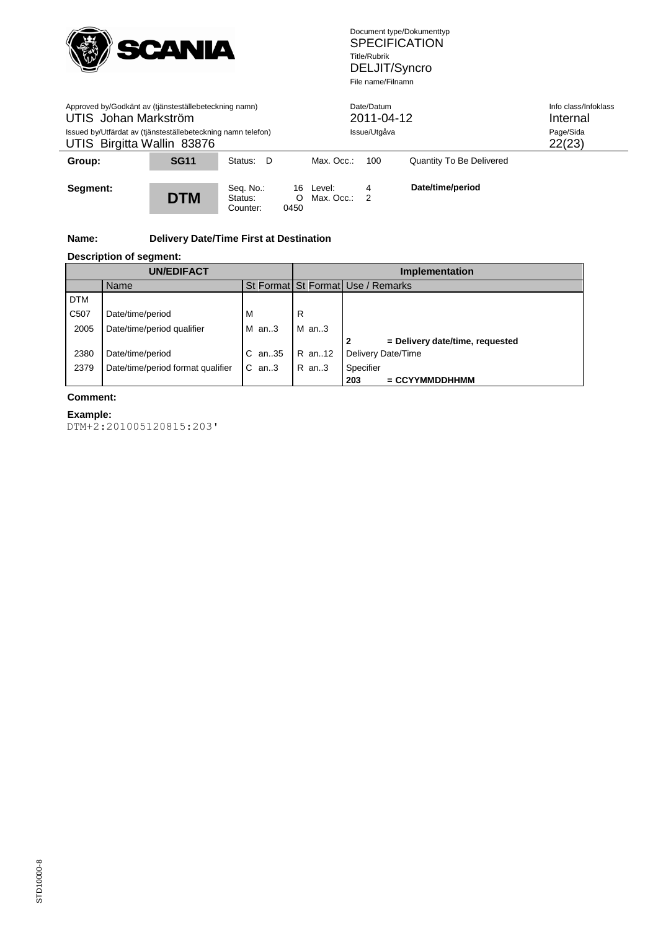

| Approved by/Godkänt av (tjänsteställebeteckning namn)<br>UTIS Johan Markström<br>Issued by/Utfärdat av (tjänsteställebeteckning namn telefon)<br>UTIS Birgitta Wallin 83876 |             |                                  | Date/Datum<br>2011-04-12<br>Issue/Utgåva |                         |        | Info class/Infoklass<br>Internal<br>Page/Sida<br>22(23) |  |
|-----------------------------------------------------------------------------------------------------------------------------------------------------------------------------|-------------|----------------------------------|------------------------------------------|-------------------------|--------|---------------------------------------------------------|--|
| Group:                                                                                                                                                                      | <b>SG11</b> | Status: D                        |                                          | Max. Occ.:              | 100    | Quantity To Be Delivered                                |  |
| Segment:                                                                                                                                                                    | <b>DTM</b>  | Seq. No.:<br>Status:<br>Counter: | O<br>0450                                | 16 Level:<br>Max. Occ.: | 4<br>2 | Date/time/period                                        |  |

## **Name: Delivery Date/Time First at Destination**

#### **Description of segment:**

| <b>UN/EDIFACT</b> |                                   |           | <b>Implementation</b> |                                      |  |
|-------------------|-----------------------------------|-----------|-----------------------|--------------------------------------|--|
|                   | Name                              |           |                       | St Format St Format Use / Remarks    |  |
| <b>DTM</b>        |                                   |           |                       |                                      |  |
| C <sub>50</sub> 7 | Date/time/period                  | M         | R                     |                                      |  |
| 2005              | Date/time/period qualifier        | $M$ an3   | $M$ an3               |                                      |  |
|                   |                                   |           |                       | = Delivery date/time, requested<br>2 |  |
| 2380              | Date/time/period                  | an35<br>С | R an12                | Delivery Date/Time                   |  |
| 2379              | Date/time/period format qualifier | $C$ an3   | $R$ an. 3             | Specifier                            |  |
|                   |                                   |           |                       | $=$ CCYYMMDDHHMM<br>203              |  |

## **Comment:**

 $\overline{a}$ 

# **Example:**

DTM+2:201005120815:203'